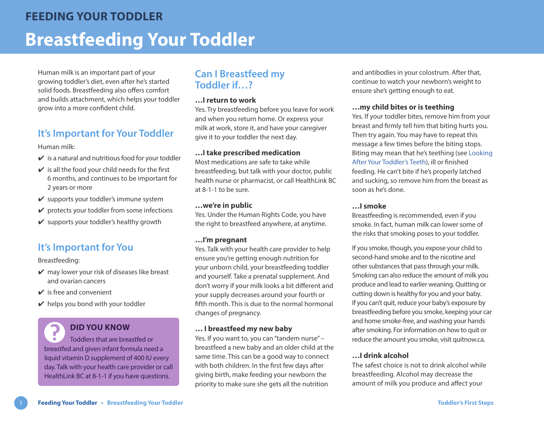Human milk is an important part of your growing toddler's diet, even after he's started solid foods. Breastfeeding also offers comfort and builds attachment, which helps your toddler grow into a more confident child.

# **It's Important for Your Toddler**

Human milk:

- $\checkmark$  is a natural and nutritious food for your toddler
- $\checkmark$  is all the food your child needs for the first 6 months, and continues to be important for 2 years or more
- $\checkmark$  supports your toddler's immune system
- $\checkmark$  protects your toddler from some infections
- $\mathbf y$  supports your toddler's healthy growth

# **It's Important for You**

Breastfeeding:

- $\vee$  may lower your risk of diseases like breast and ovarian cancers
- $\vee$  is free and convenient
- $\vee$  helps you bond with your toddler

## **DID YOU KNOW**

Toddlers that are breastfed or breastfed and given infant formula need a liquid vitamin D supplement of 400 IU every day. Talk with your health care provider or call HealthLink BC at 8-1-1 if you have questions.

## **Can I Breastfeed my Toddler if…?**

#### **…I return to work**

Yes. Try breastfeeding before you leave for work and when you return home. Or express your milk at work, store it, and have your caregiver give it to your toddler the next day.

### **…I take prescribed medication**

Most medications are safe to take while breastfeeding, but talk with your doctor, public health nurse or pharmacist, or call HealthLink BC at 8-1-1 to be sure.

#### **…we're in public**

Yes. Under the Human Rights Code, you have the right to breastfeed anywhere, at anytime.

### **…I'm pregnant**

Yes. Talk with your health care provider to help ensure you're getting enough nutrition for your unborn child, your breastfeeding toddler and yourself. Take a prenatal supplement. And don't worry if your milk looks a bit different and your supply decreases around your fourth or fifth month. This is due to the normal hormonal changes of pregnancy.

#### **… I breastfeed my new baby**

Yes. If you want to, you can "tandem nurse" – breastfeed a new baby and an older child at the same time. This can be a good way to connect with both children. In the first few days after giving birth, make feeding your newborn the priority to make sure she gets all the nutrition

and antibodies in your colostrum. After that, continue to watch your newborn's weight to ensure she's getting enough to eat.

#### **…my child bites or is teething**

Yes. If your toddler bites, remove him from your breast and firmly tell him that biting hurts you. Then try again. You may have to repeat this message a few times before the biting stops. Biting may mean that he's teething (see [Looking](https://www.healthlinkbc.ca/sites/default/files/documents/TFS_toddler-teeth.pdf)  [After Your Toddler's Teeth](https://www.healthlinkbc.ca/sites/default/files/documents/TFS_toddler-teeth.pdf)), ill or finished feeding. He can't bite if he's properly latched and sucking, so remove him from the breast as soon as he's done.

### **…I smoke**

Breastfeeding is recommended, even if you smoke. In fact, human milk can lower some of the risks that smoking poses to your toddler.

If you smoke, though, you expose your child to second-hand smoke and to the nicotine and other substances that pass through your milk. Smoking can also reduce the amount of milk you produce and lead to earlier weaning. Quitting or cutting down is healthy for you and your baby. If you can't quit, reduce your baby's exposure by breastfeeding before you smoke, keeping your car and home smoke-free, and washing your hands after smoking. For information on how to quit or reduce the amount you smoke, visit [quitnow.ca](https://www.quitnow.ca).

### **…I drink alcohol**

The safest choice is not to drink alcohol while breastfeeding. Alcohol may decrease the amount of milk you produce and affect your